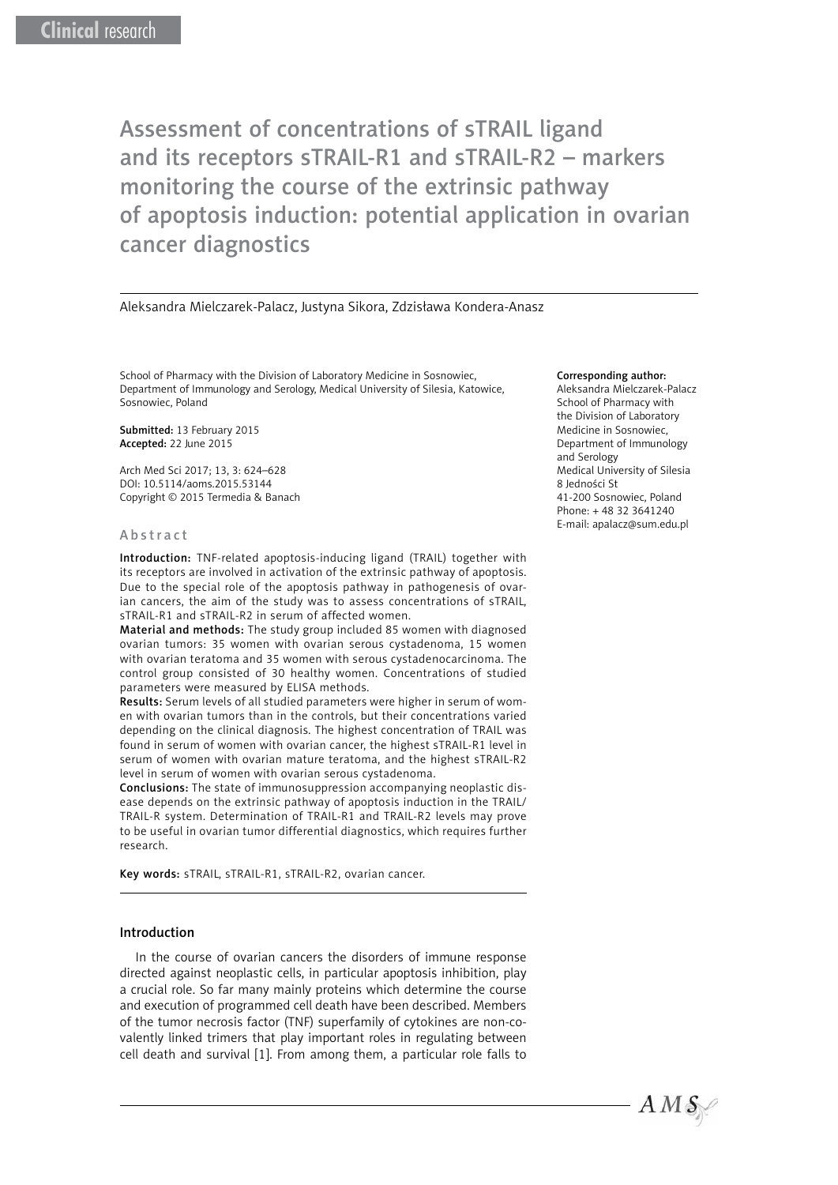Assessment of concentrations of sTRAIL ligand and its receptors sTRAIL-R1 and sTRAIL-R2 – markers monitoring the course of the extrinsic pathway of apoptosis induction: potential application in ovarian cancer diagnostics

Aleksandra Mielczarek-Palacz, Justyna Sikora, Zdzisława Kondera-Anasz

[School of Pharmacy with the Division of Laboratory Medicine in Sosnowiec,](http://www.sum.edu.pl/schools/wfzoml) Department of Immunology and Serology, Medical University of Silesia, Katowice, Sosnowiec, Poland

Submitted: 13 February 2015 Accepted: 22 June 2015

Arch Med Sci 2017; 13, 3: 624–628 DOI: 10.5114/aoms.2015.53144 Copyright © 2015 Termedia & Banach

#### Abstract

Introduction: TNF-related apoptosis-inducing ligand (TRAIL) together with its receptors are involved in activation of the extrinsic pathway of apoptosis. Due to the special role of the apoptosis pathway in pathogenesis of ovarian cancers, the aim of the study was to assess concentrations of sTRAIL, sTRAIL-R1 and sTRAIL-R2 in serum of affected women.

Material and methods: The study group included 85 women with diagnosed ovarian tumors: 35 women with ovarian serous cystadenoma, 15 women with ovarian teratoma and 35 women with serous cystadenocarcinoma. The control group consisted of 30 healthy women. Concentrations of studied parameters were measured by ELISA methods.

Results: Serum levels of all studied parameters were higher in serum of women with ovarian tumors than in the controls, but their concentrations varied depending on the clinical diagnosis. The highest concentration of TRAIL was found in serum of women with ovarian cancer, the highest sTRAIL-R1 level in serum of women with ovarian mature teratoma, and the highest sTRAIL-R2 level in serum of women with ovarian serous cystadenoma.

Conclusions: The state of immunosuppression accompanying neoplastic disease depends on the extrinsic pathway of apoptosis induction in the TRAIL/ TRAIL-R system. Determination of TRAIL-R1 and TRAIL-R2 levels may prove to be useful in ovarian tumor differential diagnostics, which requires further research.

Key words: sTRAIL, sTRAIL-R1, sTRAIL-R2, ovarian cancer.

# Introduction

In the course of ovarian cancers the disorders of immune response directed against neoplastic cells, in particular apoptosis inhibition, play a crucial role. So far many mainly proteins which determine the course and execution of programmed cell death have been described. Members of the tumor necrosis factor (TNF) superfamily of cytokines are non-covalently linked trimers that play important roles in regulating between cell death and survival [1]. From among them, a particular role falls to

#### Corresponding author:

Aleksandra Mielczarek-Palacz [School of Pharmacy with](http://www.sum.edu.pl/schools/wfzoml)  [the Division of Laboratory](http://www.sum.edu.pl/schools/wfzoml)  [Medicine in Sosnowiec](http://www.sum.edu.pl/schools/wfzoml), Department of Immunology and Serology Medical University of Silesia 8 Jedności St 41-200 Sosnowiec, Poland  $Phone: + 48333641240$ E-mail: apalacz@sum.edu.pl

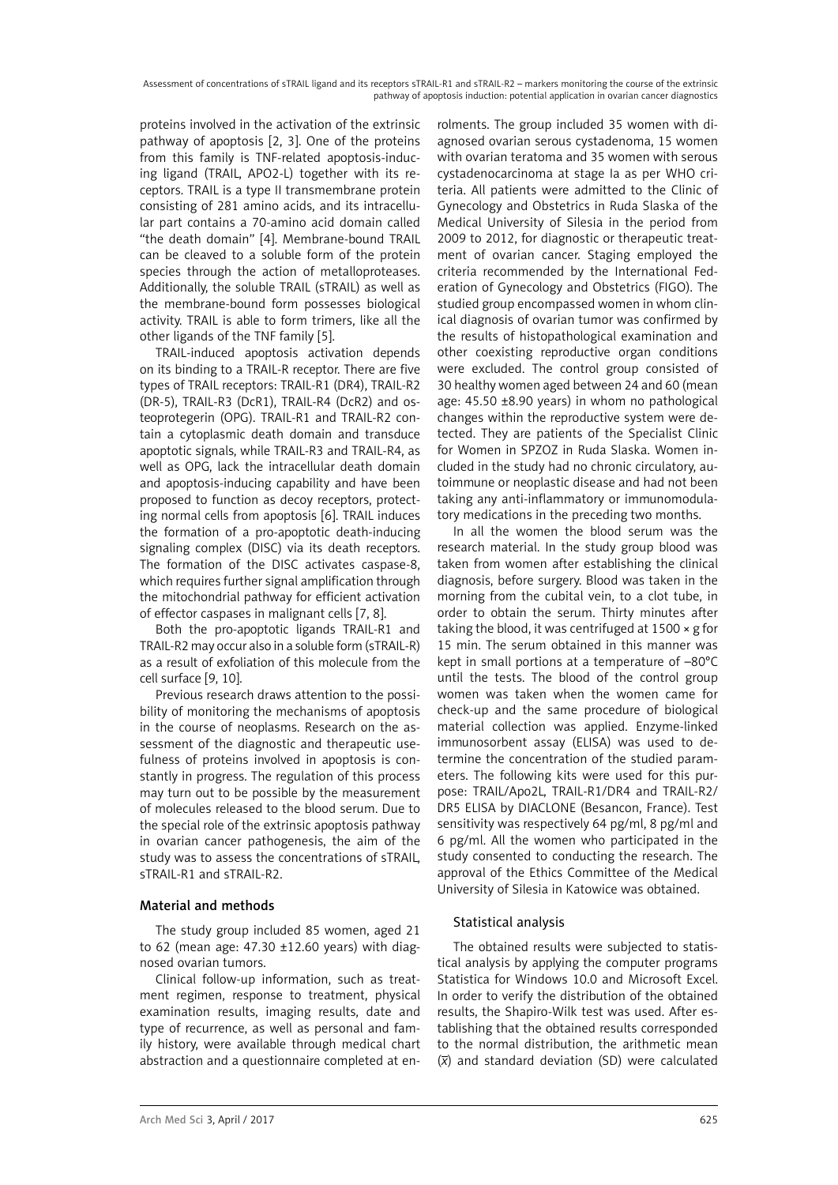Assessment of concentrations of sTRAIL ligand and its receptors sTRAIL-R1 and sTRAIL-R2 – markers monitoring the course of the extrinsic pathway of apoptosis induction: potential application in ovarian cancer diagnostics

proteins involved in the activation of the extrinsic pathway of apoptosis [2, 3]. One of the proteins from this family is TNF-related apoptosis-inducing ligand (TRAIL, APO2-L) together with its receptors. TRAIL is a type II transmembrane protein consisting of 281 amino acids, and its intracellular part contains a 70-amino acid domain called "the death domain" [4]. Membrane-bound TRAIL can be cleaved to a soluble form of the protein species through the action of metalloproteases. Additionally, the soluble TRAIL (sTRAIL) as well as the membrane-bound form possesses biological activity. TRAIL is able to form trimers, like all the other ligands of the TNF family [5].

TRAIL-induced apoptosis activation depends on its binding to a TRAIL-R receptor. There are five types of TRAIL receptors: TRAIL-R1 (DR4), TRAIL-R2 (DR-5), TRAIL-R3 (DcR1), TRAIL-R4 (DcR2) and osteoprotegerin (OPG). TRAIL-R1 and TRAIL-R2 contain a cytoplasmic death domain and transduce apoptotic signals, while TRAIL-R3 and TRAIL-R4, as well as OPG, lack the intracellular death domain and apoptosis-inducing capability and have been proposed to function as decoy receptors, protecting normal cells from apoptosis [6]. TRAIL induces the formation of a pro-apoptotic death-inducing signaling complex (DISC) via its death receptors. The formation of the DISC activates caspase-8, which requires further signal amplification through the mitochondrial pathway for efficient activation of effector caspases in malignant cells [7, 8].

Both the pro-apoptotic ligands TRAIL-R1 and TRAIL-R2 may occur also in a soluble form (sTRAIL-R) as a result of exfoliation of this molecule from the cell surface [9, 10].

Previous research draws attention to the possibility of monitoring the mechanisms of apoptosis in the course of neoplasms. Research on the assessment of the diagnostic and therapeutic usefulness of proteins involved in apoptosis is constantly in progress. The regulation of this process may turn out to be possible by the measurement of molecules released to the blood serum. Due to the special role of the extrinsic apoptosis pathway in ovarian cancer pathogenesis, the aim of the study was to assess the concentrations of sTRAIL, sTRAIL-R1 and sTRAIL-R2.

# Material and methods

The study group included 85 women, aged 21 to 62 (mean age:  $47.30 \pm 12.60$  years) with diagnosed ovarian tumors.

Clinical follow-up information, such as treatment regimen, response to treatment, physical examination results, imaging results, date and type of recurrence, as well as personal and family history, were available through medical chart abstraction and a questionnaire completed at en-

rolments. The group included 35 women with diagnosed ovarian serous cystadenoma, 15 women with ovarian teratoma and 35 women with serous cystadenocarcinoma at stage Ia as per WHO criteria. All patients were admitted to the Clinic of Gynecology and Obstetrics in Ruda Slaska of the Medical University of Silesia in the period from 2009 to 2012, for diagnostic or therapeutic treatment of ovarian cancer. Staging employed the criteria recommended by the International Federation of Gynecology and Obstetrics (FIGO). The studied group encompassed women in whom clinical diagnosis of ovarian tumor was confirmed by the results of histopathological examination and other coexisting reproductive organ conditions were excluded. The control group consisted of 30 healthy women aged between 24 and 60 (mean age: 45.50 ±8.90 years) in whom no pathological changes within the reproductive system were detected. They are patients of the Specialist Clinic for Women in SPZOZ in Ruda Slaska. Women included in the study had no chronic circulatory, autoimmune or neoplastic disease and had not been taking any anti-inflammatory or immunomodulatory medications in the preceding two months.

In all the women the blood serum was the research material. In the study group blood was taken from women after establishing the clinical diagnosis, before surgery. Blood was taken in the morning from the cubital vein, to a clot tube, in order to obtain the serum. Thirty minutes after taking the blood, it was centrifuged at 1500 × g for 15 min. The serum obtained in this manner was kept in small portions at a temperature of –80°C until the tests. The blood of the control group women was taken when the women came for check-up and the same procedure of biological material collection was applied. Enzyme-linked immunosorbent assay (ELISA) was used to determine the concentration of the studied parameters. The following kits were used for this purpose: TRAIL/Apo2L, TRAIL-R1/DR4 and TRAIL-R2/ DR5 ELISA by DIACLONE (Besancon, France). Test sensitivity was respectively 64 pg/ml, 8 pg/ml and 6 pg/ml. All the women who participated in the study consented to conducting the research. The approval of the Ethics Committee of the Medical University of Silesia in Katowice was obtained.

# Statistical analysis

The obtained results were subjected to statistical analysis by applying the computer programs Statistica for Windows 10.0 and Microsoft Excel. In order to verify the distribution of the obtained results, the Shapiro-Wilk test was used. After establishing that the obtained results corresponded to the normal distribution, the arithmetic mean (*x*) and standard deviation (SD) were calculated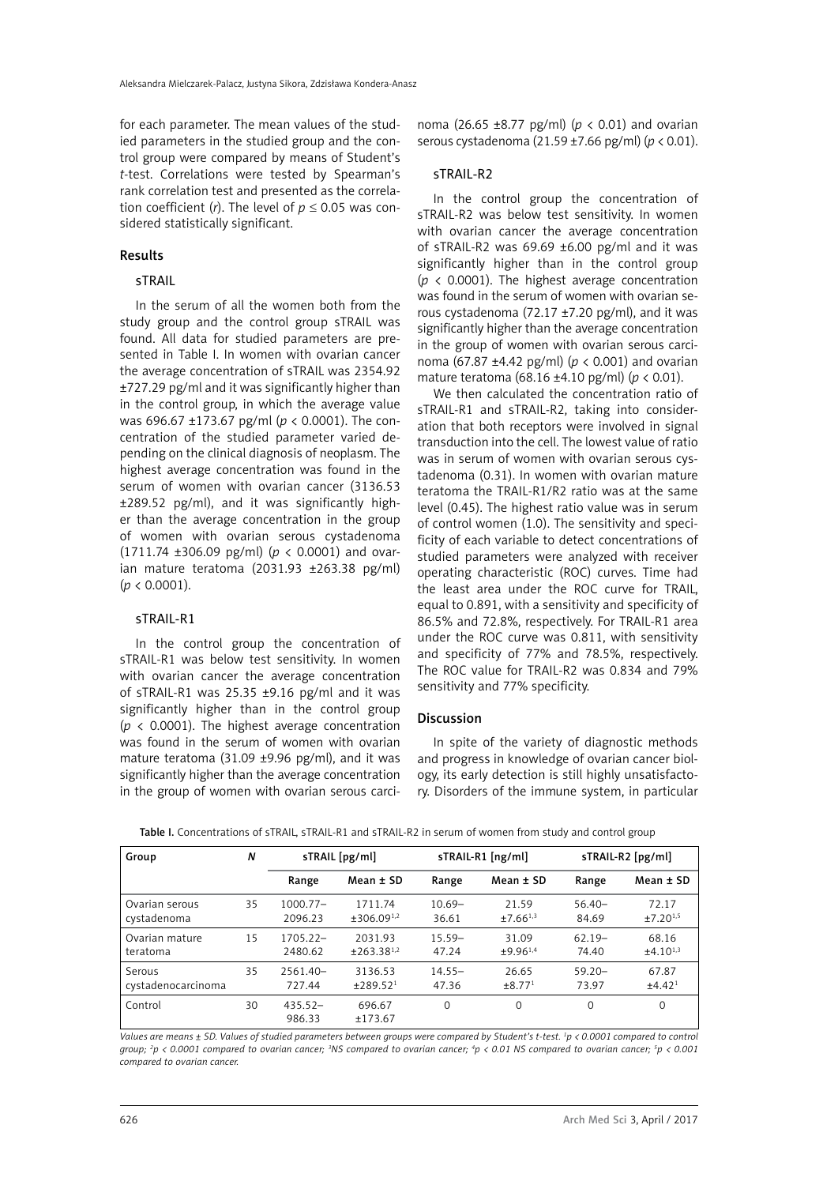for each parameter. The mean values of the studied parameters in the studied group and the control group were compared by means of Student's *t*-test. Correlations were tested by Spearman's rank correlation test and presented as the correlation coefficient (*r*). The level of  $p \le 0.05$  was considered statistically significant.

# Results

# sTRAIL

In the serum of all the women both from the study group and the control group sTRAIL was found. All data for studied parameters are presented in Table I. In women with ovarian cancer the average concentration of sTRAIL was 2354.92 ±727.29 pg/ml and it was significantly higher than in the control group, in which the average value was 696.67 ±173.67 pg/ml (*p* < 0.0001). The concentration of the studied parameter varied depending on the clinical diagnosis of neoplasm. The highest average concentration was found in the serum of women with ovarian cancer (3136.53 ±289.52 pg/ml), and it was significantly higher than the average concentration in the group of women with ovarian serous cystadenoma (1711.74 ±306.09 pg/ml) (*p* < 0.0001) and ovarian mature teratoma (2031.93 ±263.38 pg/ml) (*p* < 0.0001).

#### sTRAIL-R1

In the control group the concentration of sTRAIL-R1 was below test sensitivity. In women with ovarian cancer the average concentration of sTRAIL-R1 was 25.35 ±9.16 pg/ml and it was significantly higher than in the control group  $(p \lt 0.0001)$ . The highest average concentration was found in the serum of women with ovarian mature teratoma (31.09 ±9.96 pg/ml), and it was significantly higher than the average concentration in the group of women with ovarian serous carci-

noma (26.65 ±8.77 pg/ml) (*p* < 0.01) and ovarian serous cystadenoma (21.59 ±7.66 pg/ml) (*p* < 0.01).

### sTRAIL-R2

In the control group the concentration of sTRAIL-R2 was below test sensitivity. In women with ovarian cancer the average concentration of sTRAIL-R2 was 69.69 ±6.00 pg/ml and it was significantly higher than in the control group ( $p \lt 0.0001$ ). The highest average concentration was found in the serum of women with ovarian serous cystadenoma (72.17 ±7.20 pg/ml), and it was significantly higher than the average concentration in the group of women with ovarian serous carcinoma (67.87 ±4.42 pg/ml) (*p* < 0.001) and ovarian mature teratoma (68.16 ±4.10 pg/ml) (*p* < 0.01).

We then calculated the concentration ratio of sTRAIL-R1 and sTRAIL-R2, taking into consideration that both receptors were involved in signal transduction into the cell. The lowest value of ratio was in serum of women with ovarian serous cystadenoma (0.31). In women with ovarian mature teratoma the TRAIL-R1/R2 ratio was at the same level (0.45). The highest ratio value was in serum of control women (1.0). The sensitivity and specificity of each variable to detect concentrations of studied parameters were analyzed with receiver operating characteristic (ROC) curves. Time had the least area under the ROC curve for TRAIL, equal to 0.891, with a sensitivity and specificity of 86.5% and 72.8%, respectively. For TRAIL-R1 area under the ROC curve was 0.811, with sensitivity and specificity of 77% and 78.5%, respectively. The ROC value for TRAIL-R2 was 0.834 and 79% sensitivity and 77% specificity.

### **Discussion**

In spite of the variety of diagnostic methods and progress in knowledge of ovarian cancer biology, its early detection is still highly unsatisfactory. Disorders of the immune system, in particular

Table I. Concentrations of sTRAIL, sTRAIL-R1 and sTRAIL-R2 in serum of women from study and control group

| Group              | N  | sTRAIL [pg/ml]      |                        | sTRAIL-R1 [ng/ml] |                         | sTRAIL-R2 [pg/ml] |                      |
|--------------------|----|---------------------|------------------------|-------------------|-------------------------|-------------------|----------------------|
|                    |    | Range               | Mean ± SD              | Range             | Mean $\pm$ SD           | Range             | Mean $±$ SD          |
| Ovarian serous     | 35 | $1000.77-$          | 1711.74                | $10.69 -$         | 21.59                   | $56.40-$          | 72.17                |
| cystadenoma        |    | 2096.23             | ±306.09 <sup>1,2</sup> | 36.61             | $±7.66^{1,3}$           | 84.69             | ±7.20 <sup>1,5</sup> |
| Ovarian mature     | 15 | $1705.22 -$         | 2031.93                | $15.59 -$         | 31.09                   | $62.19-$          | 68.16                |
| teratoma           |    | 2480.62             | $±263.38^{1,2}$        | 47.24             | $±9.96^{1,4}$           | 74.40             | $±4.10^{1,3}$        |
| Serous             | 35 | $2561.40-$          | 3136.53                | $14.55 -$         | 26.65                   | $59.20 -$         | 67.87                |
| cystadenocarcinoma |    | 727.44              | ±289.52 <sup>1</sup>   | 47.36             | $\pm 8.77$ <sup>1</sup> | 73.97             | ±4.42 <sup>1</sup>   |
| Control            | 30 | $435.52-$<br>986.33 | 696.67<br>±173.67      | $\Omega$          | $\Omega$                | $\Omega$          | $\Omega$             |

*Values are means ± SD. Values of studied parameters between groups were compared by Student's t-test. 1 p < 0.0001 compared to control group; 2 p < 0.0001 compared to ovarian cancer; 3 NS compared to ovarian cancer; 4 p < 0.01 NS compared to ovarian cancer; 5 p < 0.001 compared to ovarian cancer.*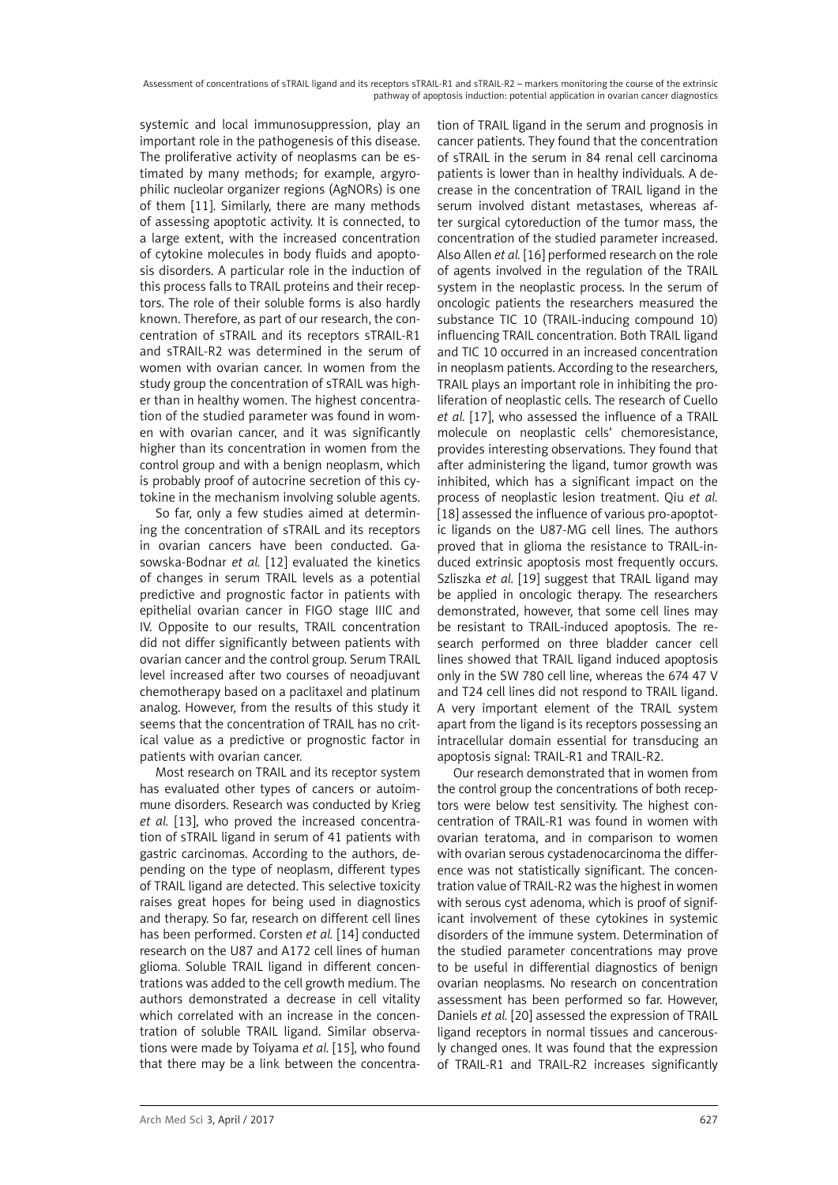Assessment of concentrations of sTRAIL ligand and its receptors sTRAIL-R1 and sTRAIL-R2 – markers monitoring the course of the extrinsic pathway of apoptosis induction: potential application in ovarian cancer diagnostics

systemic and local immunosuppression, play an important role in the pathogenesis of this disease. The proliferative activity of neoplasms can be estimated by many methods; for example, argyrophilic nucleolar organizer regions (AgNORs) is one of them [11]. Similarly, there are many methods of assessing apoptotic activity. It is connected, to a large extent, with the increased concentration of cytokine molecules in body fluids and apoptosis disorders. A particular role in the induction of this process falls to TRAIL proteins and their receptors. The role of their soluble forms is also hardly known. Therefore, as part of our research, the concentration of sTRAIL and its receptors sTRAIL-R1 and sTRAIL-R2 was determined in the serum of women with ovarian cancer. In women from the study group the concentration of sTRAIL was higher than in healthy women. The highest concentration of the studied parameter was found in women with ovarian cancer, and it was significantly higher than its concentration in women from the control group and with a benign neoplasm, which is probably proof of autocrine secretion of this cytokine in the mechanism involving soluble agents.

So far, only a few studies aimed at determining the concentration of sTRAIL and its receptors in ovarian cancers have been conducted. [Ga](http://www.ncbi.nlm.nih.gov/pubmed?term=Gasowska-Bodnar A%5BAuthor%5D&cauthor=true&cauthor_uid=22335026)[sowska-Bodnar](http://www.ncbi.nlm.nih.gov/pubmed?term=Gasowska-Bodnar A%5BAuthor%5D&cauthor=true&cauthor_uid=22335026) *et al.* [12] evaluated the kinetics of changes in serum TRAIL levels as a potential predictive and prognostic factor in patients with epithelial ovarian cancer in FIGO stage IIIC and IV. Opposite to our results, TRAIL concentration did not differ significantly between patients with ovarian cancer and the control group. Serum TRAIL level increased after two courses of neoadjuvant chemotherapy based on a paclitaxel and platinum analog. However, from the results of this study it seems that the concentration of TRAIL has no critical value as a predictive or prognostic factor in patients with ovarian cancer.

Most research on TRAIL and its receptor system has evaluated other types of cancers or autoimmune disorders. Research was conducted by Krieg *et al.* [13], who proved the increased concentration of sTRAIL ligand in serum of 41 patients with gastric carcinomas. According to the authors, depending on the type of neoplasm, different types of TRAIL ligand are detected. This selective toxicity raises great hopes for being used in diagnostics and therapy. So far, research on different cell lines has been performed. Corsten *et al.* [14] conducted research on the U87 and A172 cell lines of human glioma. Soluble TRAIL ligand in different concentrations was added to the cell growth medium. The authors demonstrated a decrease in cell vitality which correlated with an increase in the concentration of soluble TRAIL ligand. Similar observations were made by Toiyama *et al.* [15], who found that there may be a link between the concentration of TRAIL ligand in the serum and prognosis in cancer patients. They found that the concentration of sTRAIL in the serum in 84 renal cell carcinoma patients is lower than in healthy individuals. A decrease in the concentration of TRAIL ligand in the serum involved distant metastases, whereas after surgical cytoreduction of the tumor mass, the concentration of the studied parameter increased. Also Allen *et al.* [16] performed research on the role of agents involved in the regulation of the TRAIL system in the neoplastic process. In the serum of oncologic patients the researchers measured the substance TIC 10 (TRAIL-inducing compound 10) influencing TRAIL concentration. Both TRAIL ligand and TIC 10 occurred in an increased concentration in neoplasm patients. According to the researchers, TRAIL plays an important role in inhibiting the proliferation of neoplastic cells. The research of Cuello *et al.* [17], who assessed the influence of a TRAIL molecule on neoplastic cells' chemoresistance, provides interesting observations. They found that after administering the ligand, tumor growth was inhibited, which has a significant impact on the process of neoplastic lesion treatment. Qiu *et al.* [18] assessed the influence of various pro-apoptotic ligands on the U87-MG cell lines. The authors proved that in glioma the resistance to TRAIL-induced extrinsic apoptosis most frequently occurs. Szliszka *et al.* [19] suggest that TRAIL ligand may be applied in oncologic therapy. The researchers demonstrated, however, that some cell lines may be resistant to TRAIL-induced apoptosis. The research performed on three bladder cancer cell lines showed that TRAIL ligand induced apoptosis only in the SW 780 cell line, whereas the 674 47 V and T24 cell lines did not respond to TRAIL ligand. A very important element of the TRAIL system apart from the ligand is its receptors possessing an intracellular domain essential for transducing an apoptosis signal: TRAIL-R1 and TRAIL-R2.

Our research demonstrated that in women from the control group the concentrations of both receptors were below test sensitivity. The highest concentration of TRAIL-R1 was found in women with ovarian teratoma, and in comparison to women with ovarian serous cystadenocarcinoma the difference was not statistically significant. The concentration value of TRAIL-R2 was the highest in women with serous cyst adenoma, which is proof of significant involvement of these cytokines in systemic disorders of the immune system. Determination of the studied parameter concentrations may prove to be useful in differential diagnostics of benign ovarian neoplasms. No research on concentration assessment has been performed so far. However, Daniels *et al.* [20] assessed the expression of TRAIL ligand receptors in normal tissues and cancerously changed ones. It was found that the expression of TRAIL-R1 and TRAIL-R2 increases significantly